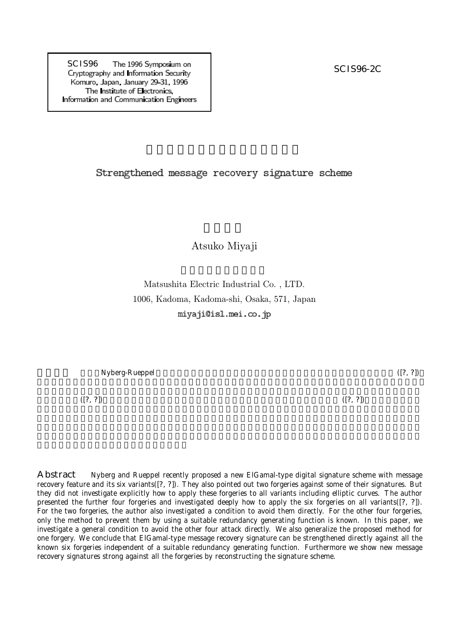SCIS96 The 1996 Symposium on<br>
Cryptography and Information Security Komuro, Japan, January 29 31, 1996 The Institute of Electronics, Information and Communication Engineers

## Strengthened message recovery signature scheme

## Atsuko Miyaji

Matsushita Electric Industrial Co. , LTD. 1006, Kadoma, Kadoma-shi, Osaka, 571, Japan miyaji@isl.mei.co.jp

 $Nyberg-Rueppel$  ([?, ?])

 $( [?, ?])$ . ([?, ?]).

Abstract Nyberg and Rueppel recently proposed a new ElGamal-type digital signature scheme with message recovery feature and its six variants([?, ?]). They also pointed out two forgeries against some of their signatures. But they did not investigate explicitly how to apply these forgeries to all variants including elliptic curves. The author presented the further four forgeries and investigated deeply how to apply the six forgeries on all variants([?, ?]). For the two forgeries, the author also investigated a condition to avoid them directly. For the other four forgeries, only the method to prevent them by using a suitable redundancy generating function is known. In this paper, we investigate a general condition to avoid the other four attack directly. We also generalize the proposed method for one forgery. We conclude that ElGamal-type message recovery signature can be strengthened directly against all the known six forgeries independent of a suitable redundancy generating function. Furthermore we show new message recovery signatures strong against all the forgeries by reconstructing the signature scheme.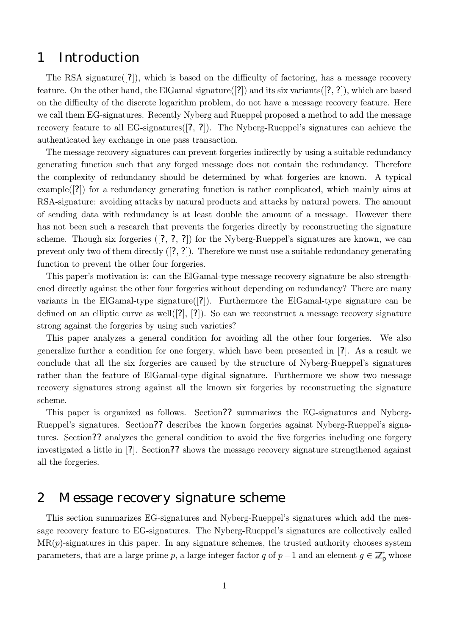## 1 Introduction

The RSA signature  $\lceil 2 \rceil$ , which is based on the difficulty of factoring, has a message recovery feature. On the other hand, the ElGamal signature  $(2)$  and its six variants  $(2, 2)$ , which are based on the difficulty of the discrete logarithm problem, do not have a message recovery feature. Here we call them EG-signatures. Recently Nyberg and Rueppel proposed a method to add the message recovery feature to all EG-signatures ([?, ?]). The Nyberg-Rueppel's signatures can achieve the authenticated key exchange in one pass transaction.

The message recovery signatures can prevent forgeries indirectly by using a suitable redundancy generating function such that any forged message does not contain the redundancy. Therefore the complexity of redundancy should be determined by what forgeries are known. A typical example([?]) for a redundancy generating function is rather complicated, which mainly aims at RSA-signature: avoiding attacks by natural products and attacks by natural powers. The amount of sending data with redundancy is at least double the amount of a message. However there has not been such a research that prevents the forgeries directly by reconstructing the signature scheme. Though six forgeries ([?, ?, ?]) for the Nyberg-Rueppel's signatures are known, we can prevent only two of them directly  $([?, ?])$ . Therefore we must use a suitable redundancy generating function to prevent the other four forgeries.

This paper's motivation is: can the ElGamal-type message recovery signature be also strengthened directly against the other four forgeries without depending on redundancy? There are many variants in the ElGamal-type signature([?]). Furthermore the ElGamal-type signature can be defined on an elliptic curve as well( $[?$ ,  $[?]$ ). So can we reconstruct a message recovery signature strong against the forgeries by using such varieties?

This paper analyzes a general condition for avoiding all the other four forgeries. We also generalize further a condition for one forgery, which have been presented in [?]. As a result we conclude that all the six forgeries are caused by the structure of Nyberg-Rueppel's signatures rather than the feature of ElGamal-type digital signature. Furthermore we show two message recovery signatures strong against all the known six forgeries by reconstructing the signature scheme.

This paper is organized as follows. Section?? summarizes the EG-signatures and Nyberg-Rueppel's signatures. Section?? describes the known forgeries against Nyberg-Rueppel's signatures. Section?? analyzes the general condition to avoid the five forgeries including one forgery investigated a little in [?]. Section?? shows the message recovery signature strengthened against all the forgeries.

## 2 Message recovery signature scheme

This section summarizes EG-signatures and Nyberg-Rueppel's signatures which add the message recovery feature to EG-signatures. The Nyberg-Rueppel's signatures are collectively called  $MR(p)$ -signatures in this paper. In any signature schemes, the trusted authority chooses system parameters, that are a large prime p, a large integer factor q of  $p-1$  and an element  $g \in \mathbb{Z}_p^*$  whose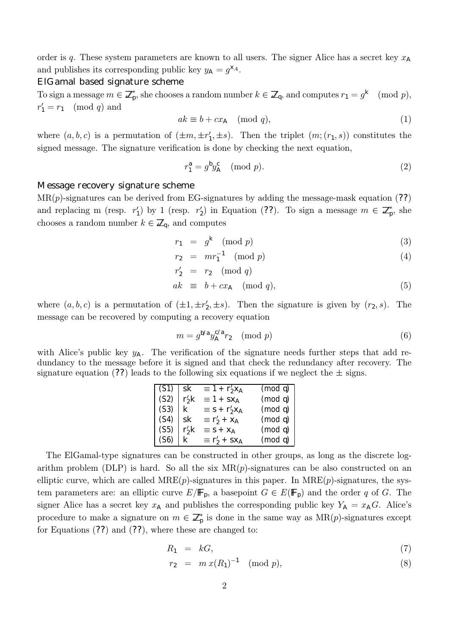order is q. These system parameters are known to all users. The signer Alice has a secret key  $x_A$ and publishes its corresponding public key  $y_A = g^{\chi_A}$ .

#### ElGamal based signature scheme

To sign a message  $m \in \mathbb{Z}_p^*$ , she chooses a random number  $k \in \mathbb{Z}_q$ , and computes  $r_1 = g^k \pmod{p}$ ,  $r'_1 = r_1 \pmod{q}$  and

$$
ak \equiv b + cx_{\mathsf{A}} \pmod{q},\tag{1}
$$

where  $(a, b, c)$  is a permutation of  $(\pm m, \pm r_1', \pm s)$ . Then the triplet  $(m; (r_1, s))$  constitutes the signed message. The signature verification is done by checking the next equation,

$$
r_1^a = g^b y_A^c \pmod{p}.
$$
 (2)

### Message recovery signature scheme

 $MR(p)$ -signatures can be derived from EG-signatures by adding the message-mask equation (??) and replacing m (resp.  $r'_1$ ) by 1 (resp.  $r'_2$ ) in Equation (??). To sign a message  $m \in \mathbb{Z}_p^*$ , she chooses a random number  $k \in \mathbb{Z}_q$ , and computes

$$
r_1 = g^k \pmod{p} \tag{3}
$$

$$
r_2 = mr_1^{-1} \pmod{p} \tag{4}
$$

$$
r'_2 = r_2 \pmod{q}
$$

$$
ak \equiv b + cx_A \pmod{q},\tag{5}
$$

where  $(a, b, c)$  is a permutation of  $(\pm 1, \pm r_2', \pm s)$ . Then the signature is given by  $(r_2, s)$ . The message can be recovered by computing a recovery equation

$$
m = g^{\mathsf{b/a}} y_{\mathsf{A}}^{\mathsf{c/a}} r_2 \pmod{p} \tag{6}
$$

with Alice's public key  $y_A$ . The verification of the signature needs further steps that add redundancy to the message before it is signed and that check the redundancy after recovery. The signature equation (??) leads to the following six equations if we neglect the  $\pm$  signs.

| $(S1)$ sk |         | $\equiv 1 + r'_2 x_A$                      | (mod q) |
|-----------|---------|--------------------------------------------|---------|
| (S2)      | $r'_2k$ | $\equiv$ 1 + SX <sub>A</sub>               | (mod q) |
| (S3)      | k.      | $\equiv$ S + $\Gamma'_2$ X <sub>A</sub>    | (mod q) |
| (S4)      | sk      | $\equiv$ r' <sub>2</sub> + x <sub>A</sub>  | (mod q) |
| (S5)      | $r'_2k$ | $\equiv$ S + X <sub>A</sub>                | (mod q) |
| (S6)      | k.      | $\equiv$ r' <sub>2</sub> + SX <sub>A</sub> | (mod q) |

The ElGamal-type signatures can be constructed in other groups, as long as the discrete logarithm problem (DLP) is hard. So all the six  $MR(p)$ -signatures can be also constructed on an elliptic curve, which are called  $MRE(p)$ -signatures in this paper. In  $MRE(p)$ -signatures, the system parameters are: an elliptic curve  $E/\mathbb{F}_p$ , a basepoint  $G \in E(\mathbb{F}_p)$  and the order q of G. The signer Alice has a secret key  $x_A$  and publishes the corresponding public key  $Y_A = x_A G$ . Alice's procedure to make a signature on  $m \in \mathbb{Z}_p^*$  is done in the same way as  $MR(p)$ -signatures except for Equations  $(??)$  and  $(??)$ , where these are changed to:

$$
R_1 = kG,\t\t(7)
$$

$$
r_2 = m x (R_1)^{-1} \pmod{p}, \tag{8}
$$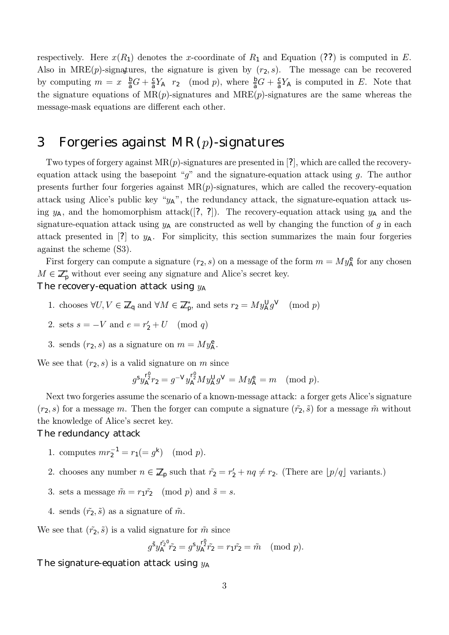respectively. Here  $x(R_1)$  denotes the x-coordinate of  $R_1$  and Equation (??) is computed in E. Also in MRE(p)-signatures, the signature is given by  $(r_2, s)$ . The message can be recovered by computing  $m = x \frac{b}{a}G + \frac{c}{a}Y_A$   $r_2$  (mod p), where  $\frac{b}{a}G + \frac{c}{a}Y_A$  is computed in E. Note that the signature equations of  $MR(p)$ -signatures and  $MRE(p)$ -signatures are the same whereas the message-mask equations are different each other.

# 3 Forgeries against  $MR(p)$ -signatures

Two types of forgery against  $MR(p)$ -signatures are presented in [?], which are called the recoveryequation attack using the basepoint "q" and the signature-equation attack using q. The author presents further four forgeries against  $MR(p)$ -signatures, which are called the recovery-equation attack using Alice's public key " $y_A$ ", the redundancy attack, the signature-equation attack using  $y_A$ , and the homomorphism attack([?, ?]). The recovery-equation attack using  $y_A$  and the signature-equation attack using  $y_A$  are constructed as well by changing the function of g in each attack presented in [?] to  $y_A$ . For simplicity, this section summarizes the main four forgeries against the scheme (S3).

First forgery can compute a signature  $(r_2, s)$  on a message of the form  $m = M y_{\mathsf{A}}^{\mathsf{e}}$  for any chosen  $M \in \mathbb{Z}_p^*$  without ever seeing any signature and Alice's secret key.

## The recovery-equation attack using  $y_A$

- 1. chooses  $\forall U, V \in \mathbb{Z}_q$  and  $\forall M \in \mathbb{Z}_p^*$ , and sets  $r_2 = M y_{\mathsf{A}}^{\mathsf{U}} g^{\mathsf{V}}$  (mod p)
- 2. sets  $s = -V$  and  $e = r'_2 + U \pmod{q}$
- 3. sends  $(r_2, s)$  as a signature on  $m = My^e_A$ .

We see that  $(r_2, s)$  is a valid signature on m since

$$
g^{s} y_{\mathsf{A}}^{r_2^0} r_2 = g^{-V} y_{\mathsf{A}}^{r_2^0} M y_{\mathsf{A}}^{\mathsf{U}} g^{\mathsf{V}} = M y_{\mathsf{A}}^{\mathsf{e}} = m \pmod{p}.
$$

Next two forgeries assume the scenario of a known-message attack: a forger gets Alice's signature  $(r_2, s)$  for a message m. Then the forger can compute a signature  $(\tilde{r_2}, \tilde{s})$  for a message  $\tilde{m}$  without the knowledge of Alice's secret key.

### The redundancy attack

- 1. computes  $mr_2^{-1} = r_1 (= g^k) \pmod{p}$ .
- 2. chooses any number  $n \in \mathbb{Z}_p$  such that  $\tilde{r}_2 = r_2' + nq \neq r_2$ . (There are  $\lfloor p/q \rfloor$  variants.)
- 3. sets a message  $\tilde{m} = r_1 \tilde{r_2} \pmod{p}$  and  $\tilde{s} = s$ .
- 4. sends  $(\tilde{r}_2, \tilde{s})$  as a signature of  $\tilde{m}$ .

We see that  $(\tilde{r}_2, \tilde{s})$  is a valid signature for  $\tilde{m}$  since

$$
g^{\tilde{S}}y_A^{\tilde{r}_2^0}\tilde{r}_2 = g^S y_A^{\Gamma_2^0}\tilde{r}_2 = r_1 \tilde{r}_2 = \tilde{m} \pmod{p}.
$$

## The signature-equation attack using  $y_A$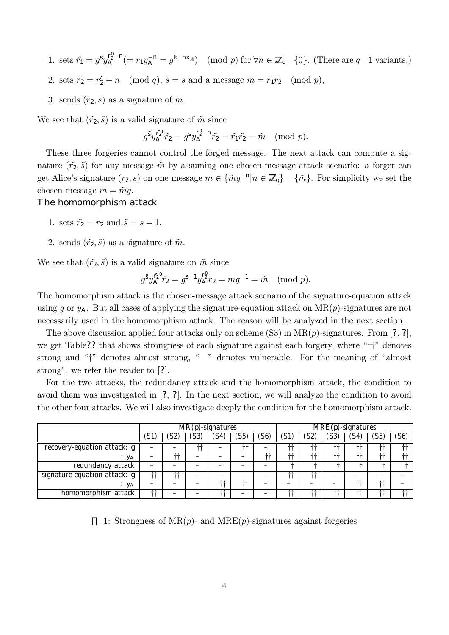- 1. sets  $\tilde{r}_1 = g^s y_A^{r_2^n n} (= r_1 y_A^{-n} = g^{k n \times A})$  (mod p) for  $\forall n \in \mathbb{Z}_q \{0\}$ . (There are  $q-1$  variants.)
- 2. sets  $\tilde{r}_2 = r_2' n \pmod{q}$ ,  $\tilde{s} = s$  and a message  $\tilde{m} = \tilde{r}_1 \tilde{r}_2 \pmod{p}$ ,
- 3. sends  $(\tilde{r}_2, \tilde{s})$  as a signature of  $\tilde{m}$ .

We see that  $(\tilde{r}_2, \tilde{s})$  is a valid signature of  $\tilde{m}$  since

$$
g^5 y_A^{\tilde{r}_2} \tilde{r}_2 = g^5 y_A^{\tilde{r}_2 - n} \tilde{r}_2 = \tilde{r}_1 \tilde{r}_2 = \tilde{m} \pmod{p}.
$$

These three forgeries cannot control the forged message. The next attack can compute a signature  $(\tilde{r}_2, \tilde{s})$  for any message  $\tilde{m}$  by assuming one chosen-message attack scenario: a forger can get Alice's signature  $(r_2, s)$  on one message  $m \in {\{\tilde{m}g^{-n}|n \in \mathbb{Z}_{q}\} - {\{\tilde{m}}\}.$  For simplicity we set the chosen-message  $m = \tilde{m}g$ .

### The homomorphism attack

- 1. sets  $\tilde{r}_2 = r_2$  and  $\tilde{s} = s 1$ .
- 2. sends  $(\tilde{r}_2, \tilde{s})$  as a signature of  $\tilde{m}$ .

We see that  $(\tilde{r}_2, \tilde{s})$  is a valid signature on  $\tilde{m}$  since

$$
g^5 y_A^{\bar{r}_2^0} \tilde{r}_2 = g^{s-1} y_A^{\bar{r}_2^0} r_2 = m g^{-1} = \tilde{m} \pmod{p}.
$$

The homomorphism attack is the chosen-message attack scenario of the signature-equation attack using g or  $y_A$ . But all cases of applying the signature-equation attack on  $MR(p)$ -signatures are not necessarily used in the homomorphism attack. The reason will be analyzed in the next section.

The above discussion applied four attacks only on scheme  $(S3)$  in  $MR(p)$ -signatures. From [?, ?], we get Table?? that shows strongness of each signature against each forgery, where "††" denotes strong and "†" denotes almost strong, "–" denotes vulnerable. For the meaning of "almost strong", we refer the reader to [?].

For the two attacks, the redundancy attack and the homomorphism attack, the condition to avoid them was investigated in [?, ?]. In the next section, we will analyze the condition to avoid the other four attacks. We will also investigate deeply the condition for the homomorphism attack.

|                              | $\overline{\text{MR}}(p)$ -signatures |         |        |     |        | MRE(p)-signatures |    |    |         |      |         |      |
|------------------------------|---------------------------------------|---------|--------|-----|--------|-------------------|----|----|---------|------|---------|------|
|                              | S                                     |         | ' 35 ، | 54) | .S5    | 56)               |    | SZ | აა      | 54   | 55      | (S6) |
| recovery-equation attack: g  |                                       |         | ++     |     |        |                   | ⊹⊹ |    | ᆠᆠ      | ᆠ    | nis ais |      |
| УА                           |                                       | sis sis |        |     |        | -- --             | ᅩᆚ | ᅩ  | ---     | -1-4 | ᆠ       | ᆠ    |
| redundancy attack            |                                       |         |        |     |        |                   |    |    |         |      |         |      |
| signature-equation attack: g |                                       |         | _      |     |        |                   |    |    |         |      |         |      |
| ` y <sub>A</sub>             |                                       |         |        |     | ala al |                   |    |    |         |      | ala al  |      |
| homomorphism attack          | ᆠ                                     |         |        |     |        |                   |    |    | علم علم | ک ک  |         |      |

1: Strongness of MR $(p)$ - and MRE $(p)$ -signatures against forgeries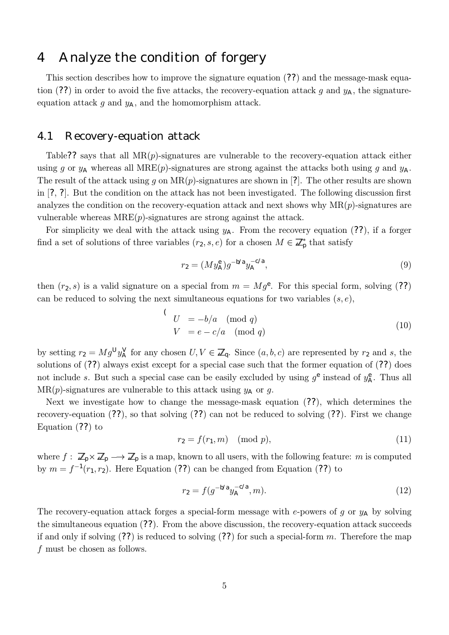## 4 Analyze the condition of forgery

This section describes how to improve the signature equation (??) and the message-mask equation (??) in order to avoid the five attacks, the recovery-equation attack g and  $y_A$ , the signatureequation attack  $g$  and  $y_A$ , and the homomorphism attack.

## 4.1 Recovery-equation attack

Table?? says that all  $MR(p)$ -signatures are vulnerable to the recovery-equation attack either using g or  $y_A$  whereas all MRE(p)-signatures are strong against the attacks both using g and  $y_A$ . The result of the attack using g on  $MR(p)$ -signatures are shown in [?]. The other results are shown in [?, ?]. But the condition on the attack has not been investigated. The following discussion first analyzes the condition on the recovery-equation attack and next shows why  $MR(p)$ -signatures are vulnerable whereas  $MRE(p)$ -signatures are strong against the attack.

For simplicity we deal with the attack using  $y_A$ . From the recovery equation (??), if a forger find a set of solutions of three variables  $(r_2, s, e)$  for a chosen  $M \in \mathbb{Z}_p^*$  that satisfy

$$
r_2 = (My_{\mathsf{A}}^{\mathsf{e}})g^{-\mathsf{b/a}}y_{\mathsf{A}}^{-\mathsf{c/a}},\tag{9}
$$

then  $(r_2, s)$  is a valid signature on a special from  $m = Mg^e$ . For this special form, solving (??) can be reduced to solving the next simultaneous equations for two variables  $(s, e)$ ,

$$
\begin{aligned}\n\text{(} & U &= -b/a \pmod{q} \\
\text{(} & V &= e - c/a \pmod{q}\n\end{aligned} \tag{10}
$$

by setting  $r_2 = Mg^{\text{U}}y_A^{\text{V}}$  for any chosen  $U, V \in \mathbb{Z}_q$ . Since  $(a, b, c)$  are represented by  $r_2$  and s, the solutions of (??) always exist except for a special case such that the former equation of (??) does not include s. But such a special case can be easily excluded by using  $g^e$  instead of  $y^e_A$ . Thus all  $MR(p)$ -signatures are vulnerable to this attack using  $y_A$  or g.

Next we investigate how to change the message-mask equation (??), which determines the recovery-equation (??), so that solving (??) can not be reduced to solving (??). First we change Equation (??) to

$$
r_2 = f(r_1, m) \pmod{p},\tag{11}
$$

where  $f: \mathbb{Z}_p \times \mathbb{Z}_p \longrightarrow \mathbb{Z}_p$  is a map, known to all users, with the following feature: m is computed by  $m = f^{-1}(r_1, r_2)$ . Here Equation (??) can be changed from Equation (??) to

$$
r_2 = f(g^{-b/a}y_A^{-c/a}, m). \tag{12}
$$

The recovery-equation attack forges a special-form message with e-powers of g or  $y_A$  by solving the simultaneous equation (??). From the above discussion, the recovery-equation attack succeeds if and only if solving  $(?)$  is reduced to solving  $(?)$  for such a special-form m. Therefore the map f must be chosen as follows.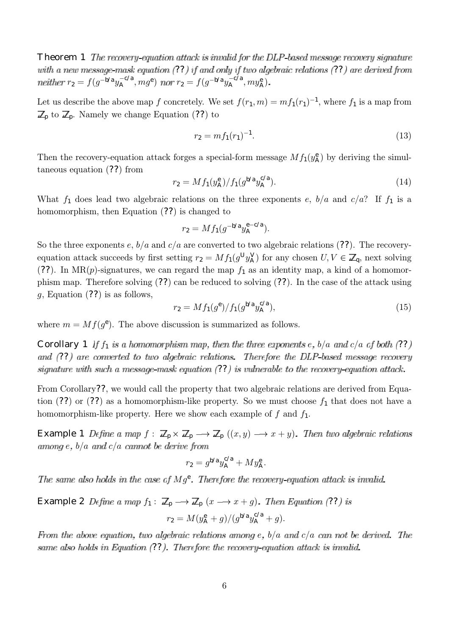**Theorem 1** The recovery-equation attack is invalid for the DLP-based message recovery signature with a new message-mask equation  $(??)$  if and only if two algebraic relations  $(??)$  are derived from  $r_2 = f(g^{-b/a}y_A^{-c/a}, mg^e)$  nor  $r_2 = f(g^{-b/a}y_A^{-c/a}, my_A^e)$ 

Let us describe the above map f concretely. We set  $f(r_1, m) = mf_1(r_1)^{-1}$ , where  $f_1$  is a map from  $\mathbb{Z}_p$  to  $\mathbb{Z}_p$ . Namely we change Equation (??) to

$$
r_2 = mf_1(r_1)^{-1}.\tag{13}
$$

Then the recovery-equation attack forges a special-form message  $Mf_1(y_A^e)$  by deriving the simultaneous equation (??) from

$$
r_2 = M f_1(y^{\rm e}_{\rm A}) / f_1(g^{\rm b/a} y^{\rm c/a}_{\rm A}). \tag{14}
$$

What  $f_1$  does lead two algebraic relations on the three exponents e,  $b/a$  and  $c/a$ ? If  $f_1$  is a homomorphism, then Equation (??) is changed to

$$
r_2 = M f_1(g^{-b/a} y_A^{e-c/a}).
$$

So the three exponents e,  $b/a$  and  $c/a$  are converted to two algebraic relations (??). The recoveryequation attack succeeds by first setting  $r_2 = M f_1(g^U y_A^V)$  for any chosen  $U, V \in \mathbb{Z}_q$ , next solving (??). In MR(p)-signatures, we can regard the map  $f_1$  as an identity map, a kind of a homomorphism map. Therefore solving (??) can be reduced to solving (??). In the case of the attack using  $g$ , Equation (??) is as follows,

$$
r_2 = M f_1(g^e) / f_1(g^{b/a} y_A^{c/a}), \tag{15}
$$

where  $m = Mf(g<sup>e</sup>)$ . The above discussion is summarized as follows.

**Corollary 1** If  $f_1$  is a homomorphism map, then the three exponents e,  $b/a$  and  $c/a$  of both (??) and (??) are converted to two algebraic relations. Therefore the DLP-based message recovery signature with such a message-mask equation  $(??)$  is vulnerable to the recovery-equation attack.

From Corollary??, we would call the property that two algebraic relations are derived from Equation (??) or (??) as a homomorphism-like property. So we must choose  $f_1$  that does not have a homomorphism-like property. Here we show each example of  $f$  and  $f_1$ .

**Example 1** Define a map  $f : \mathbb{Z}_p \times \mathbb{Z}_p \longrightarrow \mathbb{Z}_p ((x, y) \longrightarrow x + y)$ . Then two algebraic relations among e,  $b/a$  and  $c/a$  cannot be derive from

$$
r_2 = g^{\mathsf{b/a}} y_{\mathsf{A}}^{\mathsf{c/a}} + M y_{\mathsf{A}}^{\mathsf{e}}.
$$

The same also holds in the case of  $Mg^e$ . Therefore the recovery equation attack is invalid.

**Example 2** Define a map 
$$
f_1: \mathbb{Z}_p \longrightarrow \mathbb{Z}_p
$$
  $(x \longrightarrow x + g)$ . Then Equation (??) is  

$$
r_2 = M(y^e_A + g)/(g^{b/a}y^{c/a}_A + g).
$$

From the above equation, two algebraic relations among e,  $b/a$  and  $c/a$  can not be derived. The same also holds in Equation  $(??)$ . Therefore the recovery-equation attack is invalid.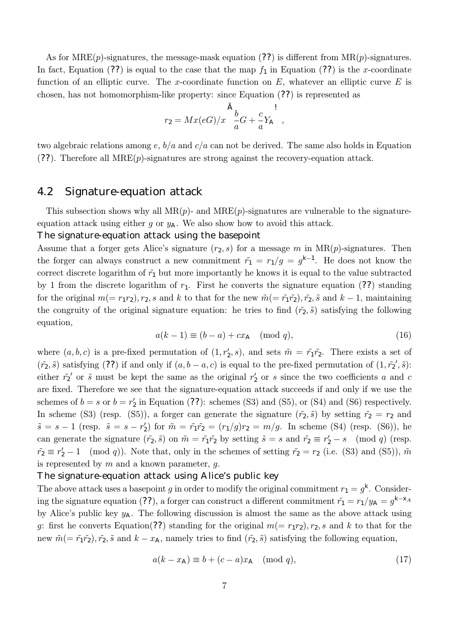As for  $MRE(p)$ -signatures, the message-mask equation (??) is different from  $MR(p)$ -signatures. In fact, Equation (??) is equal to the case that the map  $f_1$  in Equation (??) is the x-coordinate function of an elliptic curve. The x-coordinate function on  $E$ , whatever an elliptic curve  $E$  is chosen, has not homomorphism-like property: since Equation (??) is represented as

$$
r_2 = Mx(eG)/x \frac{\tilde{A}}{a}G + \frac{c}{a}Y_A ,
$$

two algebraic relations among  $e, b/a$  and  $c/a$  can not be derived. The same also holds in Equation  $(?)$ . Therefore all  $MRE(p)$ -signatures are strong against the recovery-equation attack.

## 4.2 Signature-equation attack

This subsection shows why all  $MR(p)$ - and  $MRE(p)$ -signatures are vulnerable to the signatureequation attack using either g or  $y_A$ . We also show how to avoid this attack.

### The signature-equation attack using the basepoint

Assume that a forger gets Alice's signature  $(r_2, s)$  for a message m in  $MR(p)$ -signatures. Then the forger can always construct a new commitment  $\tilde{r}_1 = r_1/g = g^{k-1}$ . He does not know the correct discrete logarithm of  $\tilde{r}_1$  but more importantly he knows it is equal to the value subtracted by 1 from the discrete logarithm of  $r_1$ . First he converts the signature equation (??) standing for the original  $m(= r_1r_2)$ ,  $r_2$ , s and k to that for the new  $\tilde{m}(= \tilde{r}_1\tilde{r}_2)$ ,  $\tilde{r}_2$ , s and  $k-1$ , maintaining the congruity of the original signature equation: he tries to find  $(\tilde{r}_2, \tilde{s})$  satisfying the following equation,

$$
a(k-1) \equiv (b-a) + cx_A \pmod{q},\tag{16}
$$

where  $(a, b, c)$  is a pre-fixed permutation of  $(1, r'_2, s)$ , and sets  $\tilde{m} = \tilde{r}_1 \tilde{r}_2$ . There exists a set of  $(\tilde{r_2}, \tilde{s})$  satisfying (??) if and only if  $(a, b - a, c)$  is equal to the pre-fixed permutation of  $(1, \tilde{r_2}', \tilde{s})$ : either  $\tilde{r}_2$  or  $\tilde{s}$  must be kept the same as the original  $r_2$  or s since the two coefficients a and c are fixed. Therefore we see that the signature-equation attack succeeds if and only if we use the schemes of  $b = s$  or  $b = r'_2$  in Equation (??): schemes (S3) and (S5), or (S4) and (S6) respectively. In scheme (S3) (resp. (S5)), a forger can generate the signature  $(\tilde{r}_2, \tilde{s})$  by setting  $\tilde{r}_2 = r_2$  and  $\tilde{s} = s - 1$  (resp.  $\tilde{s} = s - r_2'$ ) for  $\tilde{m} = \tilde{r_1} \tilde{r_2} = (r_1/g)r_2 = m/g$ . In scheme (S4) (resp. (S6)), he can generate the signature  $(\tilde{r_2}, \tilde{s})$  on  $\tilde{m} = \tilde{r_1}\tilde{r_2}$  by setting  $\tilde{s} = s$  and  $\tilde{r_2} \equiv r_2' - s \pmod{q}$  (resp.  $\tilde{r}_2 \equiv r_2' - 1 \pmod{q}$ . Note that, only in the schemes of setting  $\tilde{r}_2 = r_2$  (i.e. (S3) and (S5)),  $\tilde{m}$ is represented by  $m$  and a known parameter,  $q$ .

### The signature-equation attack using Alice's public key

The above attack uses a basepoint g in order to modify the original commitment  $r_1 = g^k$ . Considering the signature equation (??), a forger can construct a different commitment  $\tilde{r}_1 = r_1/y_A = g^{k-X_A}$ by Alice's public key  $y_A$ . The following discussion is almost the same as the above attack using g: first he converts Equation(??) standing for the original  $m(=r_1r_2)$ ,  $r_2$ , s and k to that for the new  $\tilde{m} (= \tilde{r}_1 \tilde{r}_2), \tilde{r}_2, \tilde{s}$  and  $k - x_A$ , namely tries to find  $(\tilde{r}_2, \tilde{s})$  satisfying the following equation,

$$
a(k - x_{\mathsf{A}}) \equiv b + (c - a)x_{\mathsf{A}} \pmod{q},\tag{17}
$$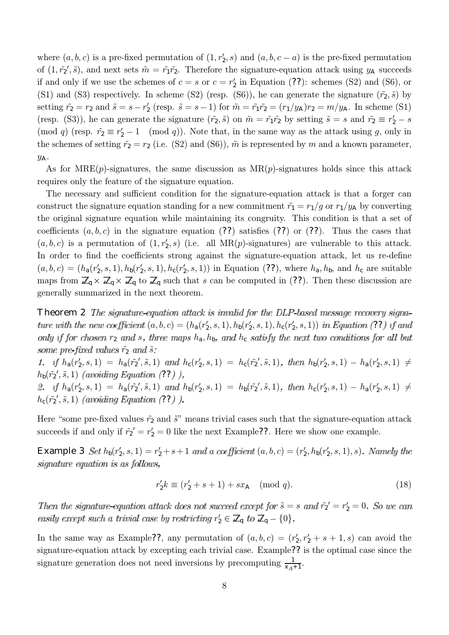where  $(a, b, c)$  is a pre-fixed permutation of  $(1, r'_2, s)$  and  $(a, b, c - a)$  is the pre-fixed permutation of  $(1, \tilde{r_2}', \tilde{s})$ , and next sets  $\tilde{m} = \tilde{r_1}\tilde{r_2}$ . Therefore the signature-equation attack using  $y_A$  succeeds if and only if we use the schemes of  $c = s$  or  $c = r'_2$  in Equation (??): schemes (S2) and (S6), or (S1) and (S3) respectively. In scheme (S2) (resp. (S6)), he can generate the signature  $(\tilde{r}_2, \tilde{s})$  by setting  $\tilde{r}_2 = r_2$  and  $\tilde{s} = s - r'_2$  (resp.  $\tilde{s} = s - 1$ ) for  $\tilde{m} = \tilde{r}_1 \tilde{r}_2 = (r_1/y_A)r_2 = m/y_A$ . In scheme (S1) (resp. (S3)), he can generate the signature  $(\tilde{r}_2, \tilde{s})$  on  $\tilde{m} = \tilde{r}_1 \tilde{r}_2$  by setting  $\tilde{s} = s$  and  $\tilde{r}_2 \equiv r_2' - s$ (mod q) (resp.  $\tilde{r}_2 \equiv r_2' - 1 \pmod{q}$ ). Note that, in the same way as the attack using g, only in the schemes of setting  $\tilde{r}_2 = r_2$  (i.e. (S2) and (S6)),  $\tilde{m}$  is represented by m and a known parameter,  $y_A$ .

As for  $MRE(p)$ -signatures, the same discussion as  $MR(p)$ -signatures holds since this attack requires only the feature of the signature equation.

The necessary and sufficient condition for the signature-equation attack is that a forger can construct the signature equation standing for a new commitment  $\tilde{r}_1 = r_1/g$  or  $r_1/y_A$  by converting the original signature equation while maintaining its congruity. This condition is that a set of coefficients  $(a, b, c)$  in the signature equation (??) satisfies (??) or (??). Thus the cases that  $(a, b, c)$  is a permutation of  $(1, r'_2, s)$  (i.e. all MR(p)-signatures) are vulnerable to this attack. In order to find the coefficients strong against the signature-equation attack, let us re-define  $(a, b, c) = (h_a(r'_2, s, 1), h_b(r'_2, s, 1), h_c(r'_2, s, 1))$  in Equation (??), where  $h_a, h_b$ , and  $h_c$  are suitable maps from  $\mathbb{Z}_q \times \mathbb{Z}_q \times \mathbb{Z}_q$  to  $\mathbb{Z}_q$  such that s can be computed in (??). Then these discussion are generally summarized in the next theorem.

**Theorem 2** The signature-equation attack is invalid for the DLP based message recovery signa- $(a, b, c) = (h_a(r'_2, s, 1), h_b(r'_2, s, 1), h_c(r'_2, s, 1))$  in Equation (??) only if for chosen  $r_2$  and s, three maps  $h_a$ ,  $h_b$ , and  $h_c$  satisfy the next two conditions for all but some pre fixed values  $\tilde{r}_2$  and  $\tilde{s}$ :

 $h_a(r'_2, s, 1) = h_a(\tilde{r_2}', \tilde{s}, 1)$  and  $h_c(r'_2, s, 1) = h_c(\tilde{r_2}', \tilde{s}, 1)$ , then  $h_b(r'_2, s, 1) - h_a(r'_2, s, 1) \neq$  $h_b(\tilde{r_2}',\tilde{s},1)$  (avoiding Equation (??)  $h_a(r'_2, s, 1) = h_a(\tilde{r_2}', \tilde{s}, 1)$  and  $h_b(r'_2, s, 1) = h_b(\tilde{r_2}', \tilde{s}, 1)$ , then  $h_c(r'_2, s, 1) - h_a(r'_2, s, 1) \neq$ 

 $h_{\rm c}(\tilde{r_2}',\tilde{s},1)$  (avoiding Equation (??)

Here "some pre-fixed values  $\tilde{r}_2$  and  $\tilde{s}$ " means trivial cases such that the signature-equation attack succeeds if and only if  $\tilde{r}_2' = r_2' = 0$  like the next Example??. Here we show one example.

**Example 3** Set  $h_b(r'_2, s, 1) = r'_2 + s + 1$  and a coefficient  $(a, b, c) = (r'_2, h_b(r'_2, s, 1), s)$ signature equation is as follows,

$$
r_2' k \equiv (r_2' + s + 1) + sx_{\mathsf{A}} \pmod{q}.
$$
 (18)

 $\tilde{s} = s$  and  $\tilde{r_2}' = r_2' = 0$  $r'_2 \in \mathbb{Z}_q$  to  $\mathbb{Z}_q - \{0\}$ 

In the same way as Example??, any permutation of  $(a, b, c) = (r'_2, r'_2 + s + 1, s)$  can avoid the signature-equation attack by excepting each trivial case. Example?? is the optimal case since the signature generation does not need inversions by precomputing  $\frac{1}{x+1}$ .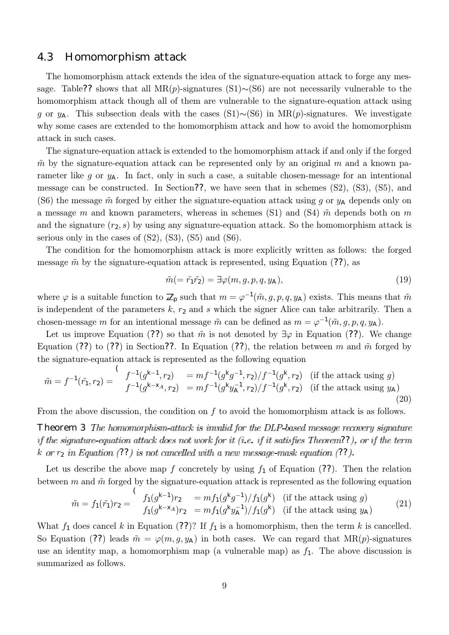## 4.3 Homomorphism attack

The homomorphism attack extends the idea of the signature-equation attack to forge any message. Table?? shows that all MR(p)-signatures  $(S1)∼(S6)$  are not necessarily vulnerable to the homomorphism attack though all of them are vulnerable to the signature-equation attack using g or y<sub>A</sub>. This subsection deals with the cases (S1)∼(S6) in MR(p)-signatures. We investigate why some cases are extended to the homomorphism attack and how to avoid the homomorphism attack in such cases.

The signature-equation attack is extended to the homomorphism attack if and only if the forged  $\tilde{m}$  by the signature-equation attack can be represented only by an original m and a known parameter like g or  $y_A$ . In fact, only in such a case, a suitable chosen-message for an intentional message can be constructed. In Section??, we have seen that in schemes (S2), (S3), (S5), and (S6) the message  $\tilde{m}$  forged by either the signature-equation attack using g or  $y_A$  depends only on a message m and known parameters, whereas in schemes (S1) and (S4)  $\tilde{m}$  depends both on m and the signature  $(r_2, s)$  by using any signature-equation attack. So the homomorphism attack is serious only in the cases of  $(S2)$ ,  $(S3)$ ,  $(S5)$  and  $(S6)$ .

The condition for the homomorphism attack is more explicitly written as follows: the forged message  $\tilde{m}$  by the signature-equation attack is represented, using Equation (??), as

$$
\tilde{m}(=\tilde{r}_1\tilde{r}_2)=\exists\varphi(m,g,p,q,y_A),\tag{19}
$$

where  $\varphi$  is a suitable function to  $\mathbb{Z}_p$  such that  $m = \varphi^{-1}(\tilde{m}, g, p, q, y_\mathsf{A})$  exists. This means that  $\tilde{m}$ is independent of the parameters  $k$ ,  $r_2$  and s which the signer Alice can take arbitrarily. Then a chosen-message m for an intentional message  $\tilde{m}$  can be defined as  $m = \varphi^{-1}(\tilde{m}, g, p, q, y_A)$ .

Let us improve Equation (??) so that  $\tilde{m}$  is not denoted by  $\exists \varphi$  in Equation (??). We change Equation (??) to (??) in Section??. In Equation (??), the relation between m and  $\tilde{m}$  forged by the signature-equation attack is represented as the following equation

$$
\tilde{m} = f^{-1}(\tilde{r}_1, r_2) = \int_{f^{-1}(g^{k-1}, r_2)}^{f^{-1}(g^{k-1}, r_2)} = mf^{-1}(g^k g^{-1}, r_2) / f^{-1}(g^k, r_2) \quad \text{(if the attack using } g)
$$
\n
$$
f^{-1}(g^{k-1}, r_2) = mf^{-1}(g^k g_A^{-1}, r_2) / f^{-1}(g^k, r_2) \quad \text{(if the attack using } g_A)
$$
\n
$$
\tag{20}
$$

From the above discussion, the condition on  $f$  to avoid the homomorphism attack is as follows.

**Theorem 3** The homomorphism attack is invalid for the DLP based message recovery signature if the signature-equation attack does not work for it (i.e. if it satisfies Theorem??), or if the term k or  $r_2$  in Equation (??) is not cancelled with a new message-mask equation (??).

Let us describe the above map f concretely by using  $f_1$  of Equation (??). Then the relation between  $m$  and  $\tilde{m}$  forged by the signature-equation attack is represented as the following equation

$$
\tilde{m} = f_1(\tilde{r}_1)r_2 = \int_{f_1(g^{k-1})r_2}^{f_1(g^{k-1})r_2} = mf_1(g^kg^{-1})/f_1(g^k)
$$
 (if the attack using g)  
\n
$$
f_1(g^{k-x_A})r_2 = mf_1(g^kg^{-1})/f_1(g^k)
$$
 (if the attack using  $y_A$ ) (21)

What  $f_1$  does cancel k in Equation (??)? If  $f_1$  is a homomorphism, then the term k is cancelled. So Equation (??) leads  $\tilde{m} = \varphi(m, g, y_\text{A})$  in both cases. We can regard that  $MR(p)$ -signatures use an identity map, a homomorphism map (a vulnerable map) as  $f_1$ . The above discussion is summarized as follows.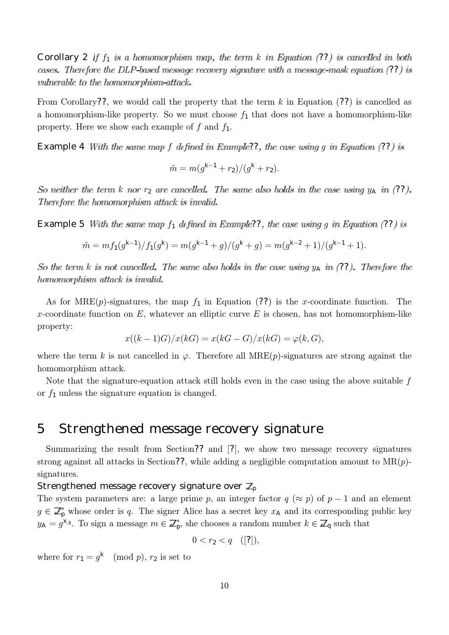Corollary 2 If  $f_1$  is a homomorphism map, the term k in Equation (??) is cancelled in both cases. Therefore the DLP-based message recovery signature with a message-mask equation (??) is vulnerable to the homomorphism attack.

From Corollary??, we would call the property that the term  $k$  in Equation (??) is cancelled as a homomorphism-like property. So we must choose  $f_1$  that does not have a homomorphism-like property. Here we show each example of f and  $f_1$ .

**Example 4** With the same map f defined in Example??, the case using g in Equation (??) is

$$
\tilde{m} = m(g^{k-1} + r_2)/(g^k + r_2).
$$

So neither the term k nor  $r_2$  are cancelled. The same also holds in the case using  $y_A$  in (??). Therefore the homomorphism attack is invalid.

**Example 5** With the same map  $f_1$  defined in Example??, the case using g in Equation (??) is

$$
\tilde{m} = mf_1(g^{k-1})/f_1(g^k) = m(g^{k-1} + g)/(g^k + g) = m(g^{k-2} + 1)/(g^{k-1} + 1).
$$

So the term k is not cancelled. The same also holds in the case using  $y_A$  in (??). Therefore the homomorphism attack is invalid

As for MRE(p)-signatures, the map  $f_1$  in Equation (??) is the x-coordinate function. The x-coordinate function on  $E$ , whatever an elliptic curve  $E$  is chosen, has not homomorphism-like property:

$$
x((k-1)G)/x(kG) = x(kG - G)/x(kG) = \varphi(k, G),
$$

where the term k is not cancelled in  $\varphi$ . Therefore all MRE(p)-signatures are strong against the homomorphism attack.

Note that the signature-equation attack still holds even in the case using the above suitable  $f$ or  $f_1$  unless the signature equation is changed.

# 5 Strengthened message recovery signature

Summarizing the result from Section?? and [?], we show two message recovery signatures strong against all attacks in Section??, while adding a negligible computation amount to  $MR(p)$ signatures.

### Strengthened message recovery signature over  $\mathbb{Z}_p$

The system parameters are: a large prime p, an integer factor  $q \approx p$  of  $p-1$  and an element  $g \in \mathbb{Z}_p^*$  whose order is q. The signer Alice has a secret key  $x_A$  and its corresponding public key  $y_A = g^{\times_A}$ . To sign a message  $m \in \mathbb{Z}_p^*$ , she chooses a random number  $k \in \mathbb{Z}_q$  such that

$$
0 < r_2 < q \quad ([?]),
$$

where for  $r_1 = g^k \pmod{p}$ ,  $r_2$  is set to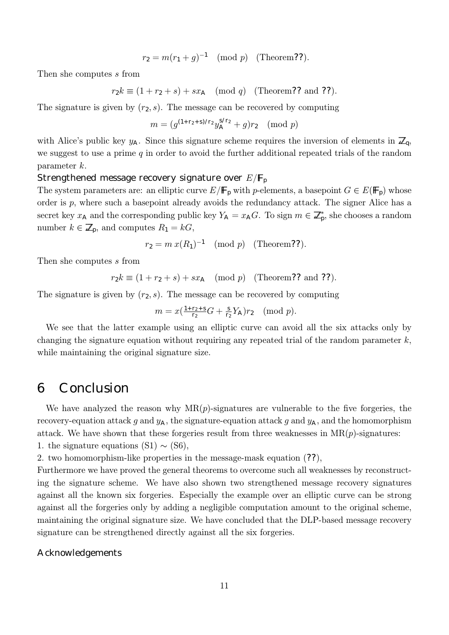$$
r_2 = m(r_1 + g)^{-1} \pmod{p}
$$
 (Theorem**??**).

Then she computes s from

 $r_2k \equiv (1 + r_2 + s) + sx_{\mathsf{A}} \pmod{q}$  (Theorem?? and ??).

The signature is given by  $(r_2, s)$ . The message can be recovered by computing

$$
m = (g^{(1+r_2+s)/r_2}y_A^{s/r_2} + g)r_2 \pmod{p}
$$

with Alice's public key  $y_A$ . Since this signature scheme requires the inversion of elements in  $\mathbb{Z}_q$ , we suggest to use a prime  $q$  in order to avoid the further additional repeated trials of the random parameter k.

### Strengthened message recovery signature over  $E/F_p$

The system parameters are: an elliptic curve  $E/\mathbb{F}_p$  with p-elements, a basepoint  $G \in E(\mathbb{F}_p)$  whose order is  $p$ , where such a basepoint already avoids the redundancy attack. The signer Alice has a secret key  $x_A$  and the corresponding public key  $Y_A = x_A G$ . To sign  $m \in \mathbb{Z}_p^*$ , she chooses a random number  $k \in \mathbb{Z}_p$ , and computes  $R_1 = kG$ ,

$$
r_2 = m x (R_1)^{-1} \pmod{p} \quad \text{(Theorem ??)}.
$$

Then she computes s from

$$
r_2k \equiv (1+r_2+s)+sx_{\mathsf{A}} \pmod{p} \quad (\text{Theorem ?? and ??}).
$$

The signature is given by  $(r_2, s)$ . The message can be recovered by computing

$$
m = x(\frac{1+r_2+s}{r_2}G + \frac{s}{r_2}Y_A)r_2 \pmod{p}.
$$

We see that the latter example using an elliptic curve can avoid all the six attacks only by changing the signature equation without requiring any repeated trial of the random parameter  $k$ , while maintaining the original signature size.

## 6 Conclusion

We have analyzed the reason why  $MR(p)$ -signatures are vulnerable to the five forgeries, the recovery-equation attack g and  $y_A$ , the signature-equation attack g and  $y_A$ , and the homomorphism attack. We have shown that these forgeries result from three weaknesses in  $MR(p)$ -signatures:

1. the signature equations  $(S1) \sim (S6)$ ,

2. two homomorphism-like properties in the message-mask equation (??),

Furthermore we have proved the general theorems to overcome such all weaknesses by reconstructing the signature scheme. We have also shown two strengthened message recovery signatures against all the known six forgeries. Especially the example over an elliptic curve can be strong against all the forgeries only by adding a negligible computation amount to the original scheme, maintaining the original signature size. We have concluded that the DLP-based message recovery signature can be strengthened directly against all the six forgeries.

#### Acknowledgements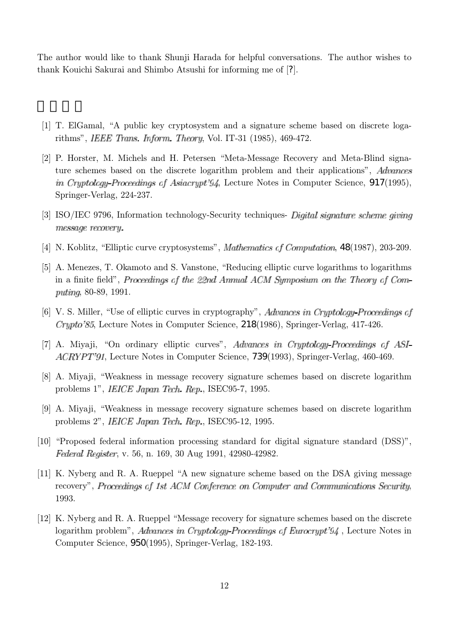The author would like to thank Shunji Harada for helpful conversations. The author wishes to thank Kouichi Sakurai and Shimbo Atsushi for informing me of [?].

- [1] T. ElGamal, "A public key cryptosystem and a signature scheme based on discrete logarithms", *IEEE Trans. Inform. Theory*, Vol. IT-31 (1985), 469-472.
- [2] P. Horster, M. Michels and H. Petersen "Meta-Message Recovery and Meta-Blind signature schemes based on the discrete logarithm problem and their applications", *Advances* in Cryptology Proceedings of Asiacrypt'94, Lecture Notes in Computer Science, 917(1995), Springer-Verlag, 224-237.
- [3] ISO/IEC 9796, Information technology-Security techniques- Digital signature scheme giving message recovery.
- [4] N. Koblitz, "Elliptic curve cryptosystems", *Mathematics of Computation*, 48(1987), 203-209.
- [5] A. Menezes, T. Okamoto and S. Vanstone, "Reducing elliptic curve logarithms to logarithms in a finite field", Proceedings of the 22nd Annual ACM Symposium on the Theory of Computing, 80-89, 1991.
- [6] V. S. Miller, "Use of elliptic curves in cryptography", Advances in Cryptology-Proceedings of , Lecture Notes in Computer Science, 218(1986), Springer-Verlag, 417-426.
- [7] A. Miyaji, "On ordinary elliptic curves", Advances in Cryptology Proceedings of ASI- $ACRYPT'91$ , Lecture Notes in Computer Science, **739**(1993), Springer-Verlag, 460-469.
- [8] A. Miyaji, "Weakness in message recovery signature schemes based on discrete logarithm problems 1", IEICE Japan Tech. Rep., ISEC95-7, 1995.
- [9] A. Miyaji, "Weakness in message recovery signature schemes based on discrete logarithm problems 2", *IEICE Japan Tech. Rep.*, ISEC95-12, 1995.
- [10] "Proposed federal information processing standard for digital signature standard (DSS)", Federal Register, v. 56, n. 169, 30 Aug 1991, 42980-42982.
- [11] K. Nyberg and R. A. Rueppel "A new signature scheme based on the DSA giving message recovery", Proceedings of 1st ACM Conference on Computer and Communications Security. 1993.
- [12] K. Nyberg and R. A. Rueppel "Message recovery for signature schemes based on the discrete logarithm problem", *Advances in Cryptology Proceedings of Eurocrypt'94*, Lecture Notes in Computer Science, 950(1995), Springer-Verlag, 182-193.